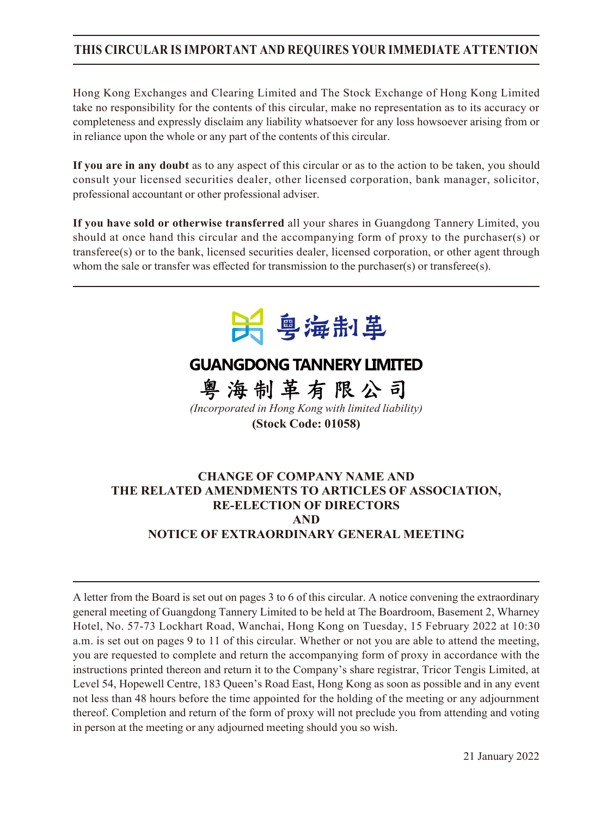## **THIS CIRCULAR IS IMPORTANT AND REQUIRES YOUR IMMEDIATE ATTENTION**

Hong Kong Exchanges and Clearing Limited and The Stock Exchange of Hong Kong Limited take no responsibility for the contents of this circular, make no representation as to its accuracy or completeness and expressly disclaim any liability whatsoever for any loss howsoever arising from or in reliance upon the whole or any part of the contents of this circular.

**If you are in any doubt** as to any aspect of this circular or as to the action to be taken, you should consult your licensed securities dealer, other licensed corporation, bank manager, solicitor, professional accountant or other professional adviser.

**If you have sold or otherwise transferred** all your shares in Guangdong Tannery Limited, you should at once hand this circular and the accompanying form of proxy to the purchaser(s) or transferee(s) or to the bank, licensed securities dealer, licensed corporation, or other agent through whom the sale or transfer was effected for transmission to the purchaser(s) or transferee(s).



# **GUANGDONG TANNERY LIMITED**

粤海制革有限公司 *(Incorporated in Hong Kong with limited liability)* **(Stock Code: 01058)**

## **CHANGE OF COMPANY NAME AND THE RELATED AMENDMENTS TO ARTICLES OF ASSOCIATION, RE-ELECTION OF DIRECTORS AND NOTICE OF EXTRAORDINARY GENERAL MEETING**

A letter from the Board is set out on pages 3 to 6 of this circular. A notice convening the extraordinary general meeting of Guangdong Tannery Limited to be held at The Boardroom, Basement 2, Wharney Hotel, No. 57-73 Lockhart Road, Wanchai, Hong Kong on Tuesday, 15 February 2022 at 10:30 a.m. is set out on pages 9 to 11 of this circular. Whether or not you are able to attend the meeting, you are requested to complete and return the accompanying form of proxy in accordance with the instructions printed thereon and return it to the Company's share registrar, Tricor Tengis Limited, at Level 54, Hopewell Centre, 183 Queen's Road East, Hong Kong as soon as possible and in any event not less than 48 hours before the time appointed for the holding of the meeting or any adjournment thereof. Completion and return of the form of proxy will not preclude you from attending and voting in person at the meeting or any adjourned meeting should you so wish.

21 January 2022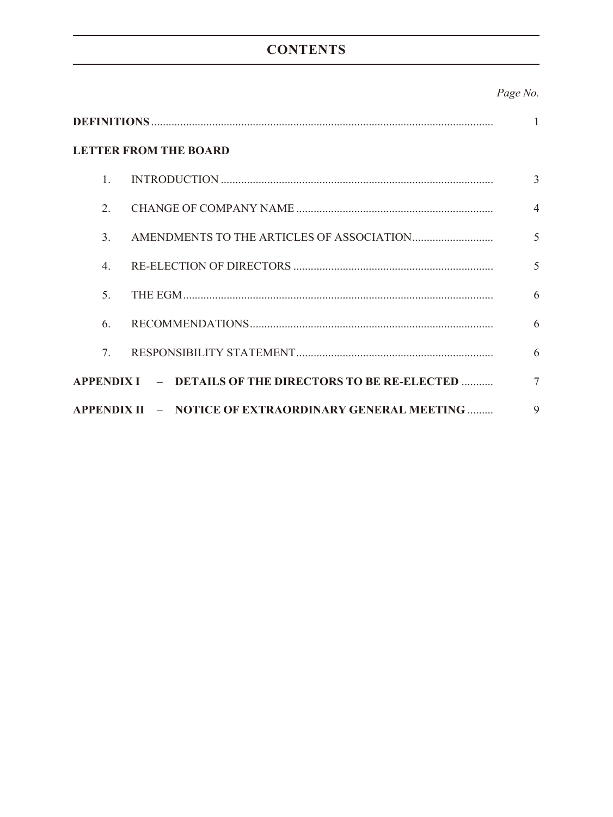# **CONTENTS**

## Page No.

| 1                                |                                                        |                |  |
|----------------------------------|--------------------------------------------------------|----------------|--|
| <b>LETTER FROM THE BOARD</b>     |                                                        |                |  |
| $\mathbf{1}$                     |                                                        | 3              |  |
| 2 <sub>1</sub>                   |                                                        | $\overline{4}$ |  |
| $\mathcal{E}$                    |                                                        | 5              |  |
| $\mathcal{A}_{\cdot}$            |                                                        | 5              |  |
| 5.                               |                                                        | 6              |  |
| 6.                               |                                                        | 6              |  |
| $7_{\scriptscriptstyle{\ddots}}$ |                                                        | 6              |  |
|                                  | APPENDIX I - DETAILS OF THE DIRECTORS TO BE RE-ELECTED | $\tau$         |  |
|                                  | APPENDIX II - NOTICE OF EXTRAORDINARY GENERAL MEETING  | $\mathbf Q$    |  |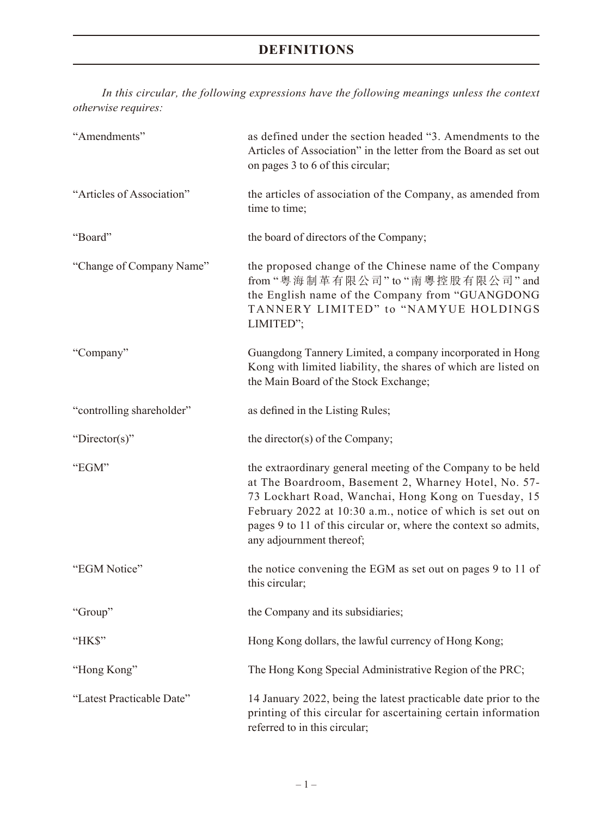# **DEFINITIONS**

*In this circular, the following expressions have the following meanings unless the context otherwise requires:*

| "Amendments"              | as defined under the section headed "3. Amendments to the<br>Articles of Association" in the letter from the Board as set out<br>on pages 3 to 6 of this circular;                                                                                                                                                                      |
|---------------------------|-----------------------------------------------------------------------------------------------------------------------------------------------------------------------------------------------------------------------------------------------------------------------------------------------------------------------------------------|
| "Articles of Association" | the articles of association of the Company, as amended from<br>time to time;                                                                                                                                                                                                                                                            |
| "Board"                   | the board of directors of the Company;                                                                                                                                                                                                                                                                                                  |
| "Change of Company Name"  | the proposed change of the Chinese name of the Company<br>from "粵海制革有限公司" to "南粵控股有限公司" and<br>the English name of the Company from "GUANGDONG<br>TANNERY LIMITED" to "NAMYUE HOLDINGS<br>LIMITED";                                                                                                                                     |
| "Company"                 | Guangdong Tannery Limited, a company incorporated in Hong<br>Kong with limited liability, the shares of which are listed on<br>the Main Board of the Stock Exchange;                                                                                                                                                                    |
| "controlling shareholder" | as defined in the Listing Rules;                                                                                                                                                                                                                                                                                                        |
| "Director(s)"             | the director(s) of the Company;                                                                                                                                                                                                                                                                                                         |
| "EGM"                     | the extraordinary general meeting of the Company to be held<br>at The Boardroom, Basement 2, Wharney Hotel, No. 57-<br>73 Lockhart Road, Wanchai, Hong Kong on Tuesday, 15<br>February 2022 at 10:30 a.m., notice of which is set out on<br>pages 9 to 11 of this circular or, where the context so admits,<br>any adjournment thereof; |
| "EGM Notice"              | the notice convening the EGM as set out on pages 9 to 11 of<br>this circular;                                                                                                                                                                                                                                                           |
| "Group"                   | the Company and its subsidiaries;                                                                                                                                                                                                                                                                                                       |
| "HK\$"                    | Hong Kong dollars, the lawful currency of Hong Kong;                                                                                                                                                                                                                                                                                    |
| "Hong Kong"               | The Hong Kong Special Administrative Region of the PRC;                                                                                                                                                                                                                                                                                 |
| "Latest Practicable Date" | 14 January 2022, being the latest practicable date prior to the<br>printing of this circular for ascertaining certain information<br>referred to in this circular;                                                                                                                                                                      |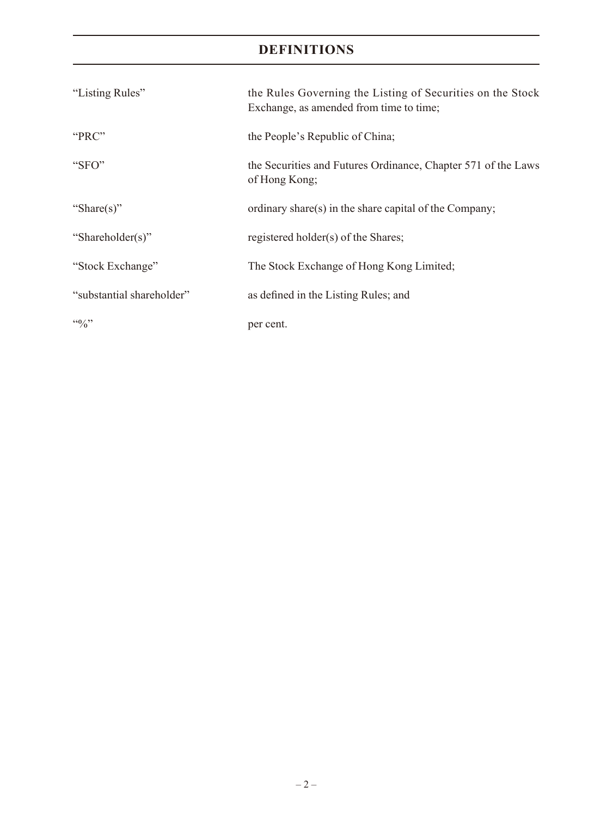# **DEFINITIONS**

| "Listing Rules"                 | the Rules Governing the Listing of Securities on the Stock<br>Exchange, as amended from time to time; |
|---------------------------------|-------------------------------------------------------------------------------------------------------|
| "PRC"                           | the People's Republic of China;                                                                       |
| " $SFO"$                        | the Securities and Futures Ordinance, Chapter 571 of the Laws<br>of Hong Kong;                        |
| "Share(s)"                      | ordinary share(s) in the share capital of the Company;                                                |
| "Shareholder(s)"                | registered holder(s) of the Shares;                                                                   |
| "Stock Exchange"                | The Stock Exchange of Hong Kong Limited;                                                              |
| "substantial shareholder"       | as defined in the Listing Rules; and                                                                  |
| $\cdot \cdot \cdot \cdot \cdot$ | per cent.                                                                                             |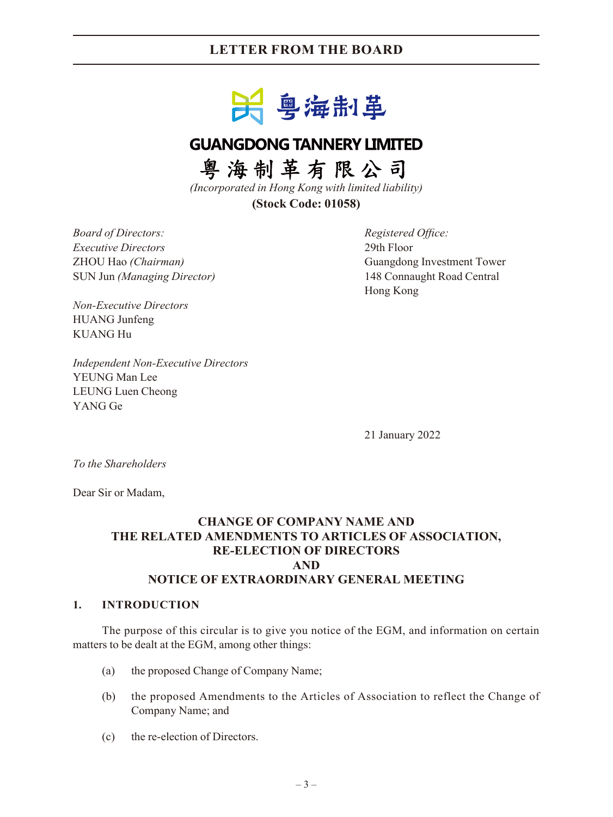## **LETTER FROM THE BOARD**



# **GUANGDONG TANNERY LIMITED**

粤海制革有限公司

*(Incorporated in Hong Kong with limited liability)* **(Stock Code: 01058)**

*Board of Directors: Registered Office: Executive Directors* 29th Floor SUN Jun *(Managing Director)* 148 Connaught Road Central

ZHOU Hao *(Chairman)* Guangdong Investment Tower Hong Kong

*Non-Executive Directors* HUANG Junfeng KUANG Hu

*Independent Non-Executive Directors* YEUNG Man Lee LEUNG Luen Cheong YANG Ge

21 January 2022

*To the Shareholders*

Dear Sir or Madam,

### **CHANGE OF COMPANY NAME AND THE RELATED AMENDMENTS TO ARTICLES OF ASSOCIATION, RE-ELECTION OF DIRECTORS AND NOTICE OF EXTRAORDINARY GENERAL MEETING**

#### **1. INTRODUCTION**

The purpose of this circular is to give you notice of the EGM, and information on certain matters to be dealt at the EGM, among other things:

- (a) the proposed Change of Company Name;
- (b) the proposed Amendments to the Articles of Association to reflect the Change of Company Name; and
- (c) the re-election of Directors.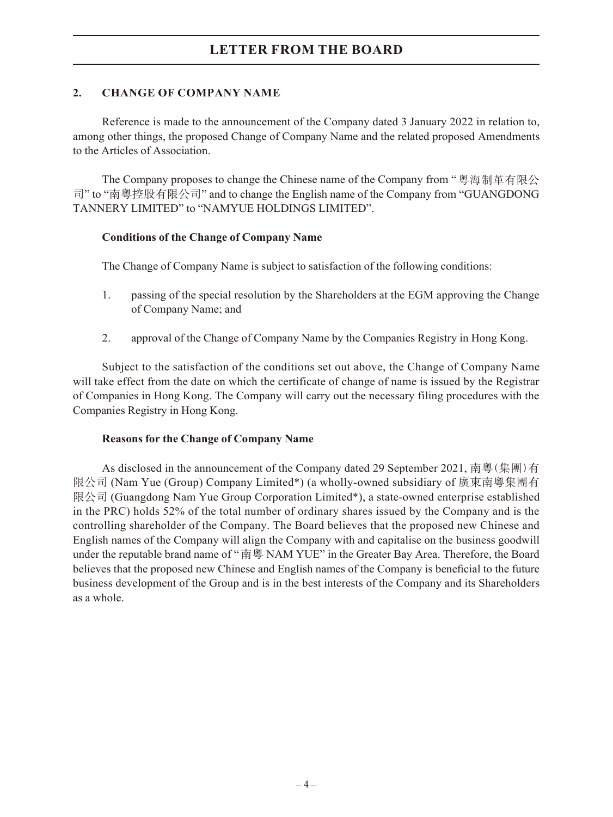## **2. CHANGE OF COMPANY NAME**

Reference is made to the announcement of the Company dated 3 January 2022 in relation to, among other things, the proposed Change of Company Name and the related proposed Amendments to the Articles of Association.

The Company proposes to change the Chinese name of the Company from "粵海制革有限公 司" to "南粵控股有限公司" and to change the English name of the Company from "GUANGDONG TANNERY LIMITED" to "NAMYUE HOLDINGS LIMITED".

#### **Conditions of the Change of Company Name**

The Change of Company Name is subject to satisfaction of the following conditions:

- 1. passing of the special resolution by the Shareholders at the EGM approving the Change of Company Name; and
- 2. approval of the Change of Company Name by the Companies Registry in Hong Kong.

Subject to the satisfaction of the conditions set out above, the Change of Company Name will take effect from the date on which the certificate of change of name is issued by the Registrar of Companies in Hong Kong. The Company will carry out the necessary filing procedures with the Companies Registry in Hong Kong.

#### **Reasons for the Change of Company Name**

As disclosed in the announcement of the Company dated 29 September 2021, 南粵(集團)有 限公司 (Nam Yue (Group) Company Limited\*) (a wholly-owned subsidiary of 廣東南粵集團有 限公司 (Guangdong Nam Yue Group Corporation Limited\*), a state-owned enterprise established in the PRC) holds 52% of the total number of ordinary shares issued by the Company and is the controlling shareholder of the Company. The Board believes that the proposed new Chinese and English names of the Company will align the Company with and capitalise on the business goodwill under the reputable brand name of "南粵 NAM YUE" in the Greater Bay Area. Therefore, the Board believes that the proposed new Chinese and English names of the Company is beneficial to the future business development of the Group and is in the best interests of the Company and its Shareholders as a whole.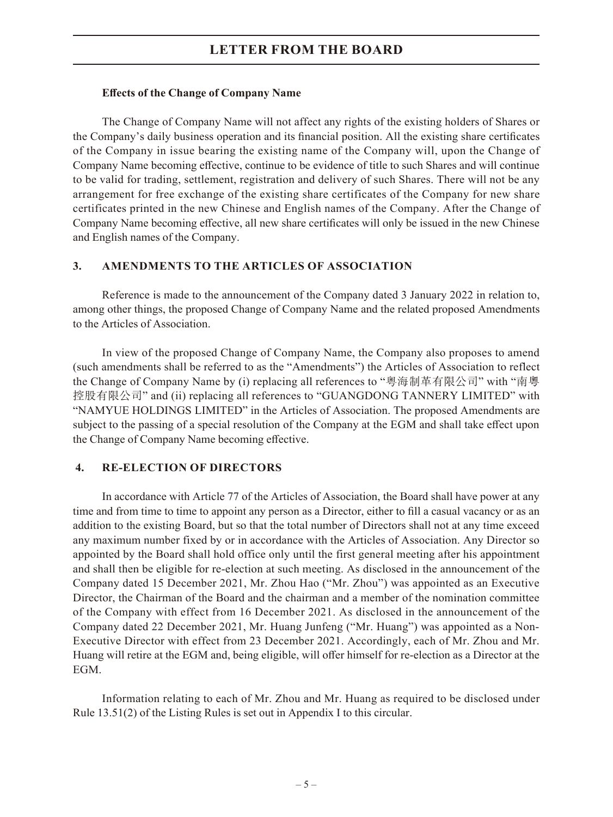#### **Effects of the Change of Company Name**

The Change of Company Name will not affect any rights of the existing holders of Shares or the Company's daily business operation and its financial position. All the existing share certificates of the Company in issue bearing the existing name of the Company will, upon the Change of Company Name becoming effective, continue to be evidence of title to such Shares and will continue to be valid for trading, settlement, registration and delivery of such Shares. There will not be any arrangement for free exchange of the existing share certificates of the Company for new share certificates printed in the new Chinese and English names of the Company. After the Change of Company Name becoming effective, all new share certificates will only be issued in the new Chinese and English names of the Company.

### **3. AMENDMENTS TO THE ARTICLES OF ASSOCIATION**

Reference is made to the announcement of the Company dated 3 January 2022 in relation to, among other things, the proposed Change of Company Name and the related proposed Amendments to the Articles of Association.

In view of the proposed Change of Company Name, the Company also proposes to amend (such amendments shall be referred to as the "Amendments") the Articles of Association to reflect the Change of Company Name by (i) replacing all references to "粵海制革有限公司" with "南粵 控股有限公司" and (ii) replacing all references to "GUANGDONG TANNERY LIMITED" with "NAMYUE HOLDINGS LIMITED" in the Articles of Association. The proposed Amendments are subject to the passing of a special resolution of the Company at the EGM and shall take effect upon the Change of Company Name becoming effective.

#### **4. RE-ELECTION OF DIRECTORS**

In accordance with Article 77 of the Articles of Association, the Board shall have power at any time and from time to time to appoint any person as a Director, either to fill a casual vacancy or as an addition to the existing Board, but so that the total number of Directors shall not at any time exceed any maximum number fixed by or in accordance with the Articles of Association. Any Director so appointed by the Board shall hold office only until the first general meeting after his appointment and shall then be eligible for re-election at such meeting. As disclosed in the announcement of the Company dated 15 December 2021, Mr. Zhou Hao ("Mr. Zhou") was appointed as an Executive Director, the Chairman of the Board and the chairman and a member of the nomination committee of the Company with effect from 16 December 2021. As disclosed in the announcement of the Company dated 22 December 2021, Mr. Huang Junfeng ("Mr. Huang") was appointed as a Non-Executive Director with effect from 23 December 2021. Accordingly, each of Mr. Zhou and Mr. Huang will retire at the EGM and, being eligible, will offer himself for re-election as a Director at the EGM.

Information relating to each of Mr. Zhou and Mr. Huang as required to be disclosed under Rule 13.51(2) of the Listing Rules is set out in Appendix I to this circular.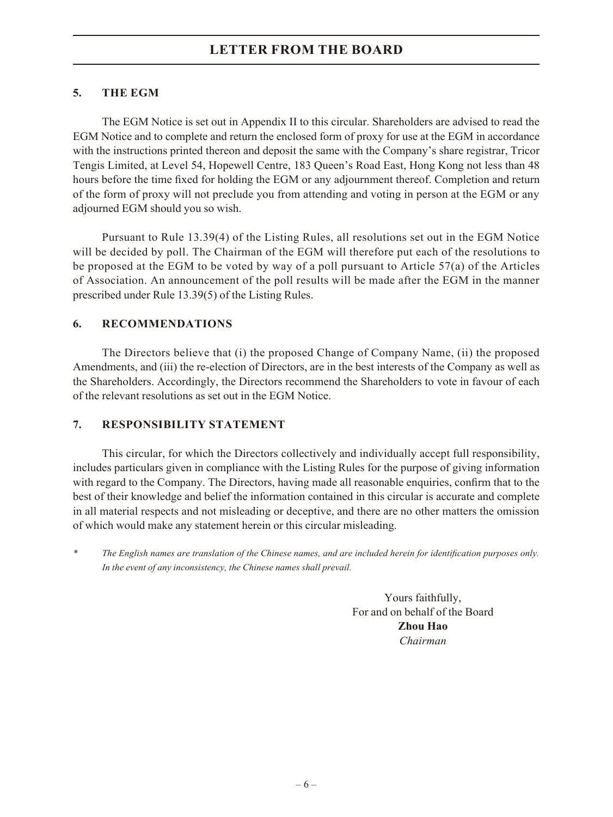## **5. THE EGM**

The EGM Notice is set out in Appendix II to this circular. Shareholders are advised to read the EGM Notice and to complete and return the enclosed form of proxy for use at the EGM in accordance with the instructions printed thereon and deposit the same with the Company's share registrar, Tricor Tengis Limited, at Level 54, Hopewell Centre, 183 Queen's Road East, Hong Kong not less than 48 hours before the time fixed for holding the EGM or any adjournment thereof. Completion and return of the form of proxy will not preclude you from attending and voting in person at the EGM or any adjourned EGM should you so wish.

Pursuant to Rule 13.39(4) of the Listing Rules, all resolutions set out in the EGM Notice will be decided by poll. The Chairman of the EGM will therefore put each of the resolutions to be proposed at the EGM to be voted by way of a poll pursuant to Article 57(a) of the Articles of Association. An announcement of the poll results will be made after the EGM in the manner prescribed under Rule 13.39(5) of the Listing Rules.

### **6. RECOMMENDATIONS**

The Directors believe that (i) the proposed Change of Company Name, (ii) the proposed Amendments, and (iii) the re-election of Directors, are in the best interests of the Company as well as the Shareholders. Accordingly, the Directors recommend the Shareholders to vote in favour of each of the relevant resolutions as set out in the EGM Notice.

### **7. RESPONSIBILITY STATEMENT**

This circular, for which the Directors collectively and individually accept full responsibility, includes particulars given in compliance with the Listing Rules for the purpose of giving information with regard to the Company. The Directors, having made all reasonable enquiries, confirm that to the best of their knowledge and belief the information contained in this circular is accurate and complete in all material respects and not misleading or deceptive, and there are no other matters the omission of which would make any statement herein or this circular misleading.

*\* The English names are translation of the Chinese names, and are included herein for identification purposes only. In the event of any inconsistency, the Chinese names shall prevail.*

> Yours faithfully, For and on behalf of the Board **Zhou Hao** *Chairman*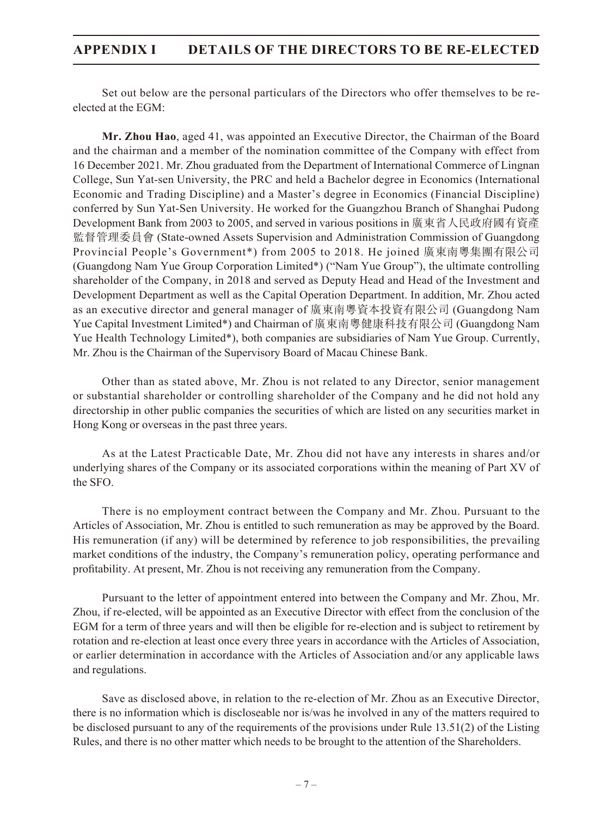## **APPENDIX I DETAILS OF THE DIRECTORS TO BE RE-ELECTED**

Set out below are the personal particulars of the Directors who offer themselves to be reelected at the EGM:

**Mr. Zhou Hao**, aged 41, was appointed an Executive Director, the Chairman of the Board and the chairman and a member of the nomination committee of the Company with effect from 16 December 2021. Mr. Zhou graduated from the Department of International Commerce of Lingnan College, Sun Yat-sen University, the PRC and held a Bachelor degree in Economics (International Economic and Trading Discipline) and a Master's degree in Economics (Financial Discipline) conferred by Sun Yat-Sen University. He worked for the Guangzhou Branch of Shanghai Pudong Development Bank from 2003 to 2005, and served in various positions in 廣東省人民政府國有資產 監督管理委員會 (State-owned Assets Supervision and Administration Commission of Guangdong Provincial People's Government\*) from 2005 to 2018. He joined 廣東南粵集團有限公司 (Guangdong Nam Yue Group Corporation Limited\*) ("Nam Yue Group"), the ultimate controlling shareholder of the Company, in 2018 and served as Deputy Head and Head of the Investment and Development Department as well as the Capital Operation Department. In addition, Mr. Zhou acted as an executive director and general manager of 廣東南粵資本投資有限公司 (Guangdong Nam Yue Capital Investment Limited\*) and Chairman of 廣東南粵健康科技有限公司 (Guangdong Nam Yue Health Technology Limited\*), both companies are subsidiaries of Nam Yue Group. Currently, Mr. Zhou is the Chairman of the Supervisory Board of Macau Chinese Bank.

Other than as stated above, Mr. Zhou is not related to any Director, senior management or substantial shareholder or controlling shareholder of the Company and he did not hold any directorship in other public companies the securities of which are listed on any securities market in Hong Kong or overseas in the past three years.

As at the Latest Practicable Date, Mr. Zhou did not have any interests in shares and/or underlying shares of the Company or its associated corporations within the meaning of Part XV of the SFO.

There is no employment contract between the Company and Mr. Zhou. Pursuant to the Articles of Association, Mr. Zhou is entitled to such remuneration as may be approved by the Board. His remuneration (if any) will be determined by reference to job responsibilities, the prevailing market conditions of the industry, the Company's remuneration policy, operating performance and profitability. At present, Mr. Zhou is not receiving any remuneration from the Company.

Pursuant to the letter of appointment entered into between the Company and Mr. Zhou, Mr. Zhou, if re-elected, will be appointed as an Executive Director with effect from the conclusion of the EGM for a term of three years and will then be eligible for re-election and is subject to retirement by rotation and re-election at least once every three years in accordance with the Articles of Association, or earlier determination in accordance with the Articles of Association and/or any applicable laws and regulations.

Save as disclosed above, in relation to the re-election of Mr. Zhou as an Executive Director, there is no information which is discloseable nor is/was he involved in any of the matters required to be disclosed pursuant to any of the requirements of the provisions under Rule 13.51(2) of the Listing Rules, and there is no other matter which needs to be brought to the attention of the Shareholders.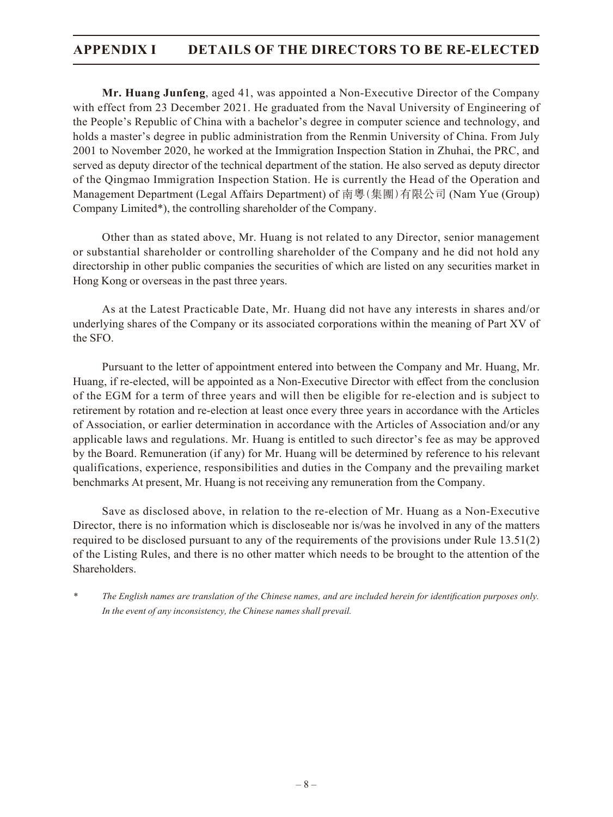## **APPENDIX I DETAILS OF THE DIRECTORS TO BE RE-ELECTED**

**Mr. Huang Junfeng**, aged 41, was appointed a Non-Executive Director of the Company with effect from 23 December 2021. He graduated from the Naval University of Engineering of the People's Republic of China with a bachelor's degree in computer science and technology, and holds a master's degree in public administration from the Renmin University of China. From July 2001 to November 2020, he worked at the Immigration Inspection Station in Zhuhai, the PRC, and served as deputy director of the technical department of the station. He also served as deputy director of the Qingmao Immigration Inspection Station. He is currently the Head of the Operation and Management Department (Legal Affairs Department) of 南粵(集團)有限公司 (Nam Yue (Group) Company Limited\*), the controlling shareholder of the Company.

Other than as stated above, Mr. Huang is not related to any Director, senior management or substantial shareholder or controlling shareholder of the Company and he did not hold any directorship in other public companies the securities of which are listed on any securities market in Hong Kong or overseas in the past three years.

As at the Latest Practicable Date, Mr. Huang did not have any interests in shares and/or underlying shares of the Company or its associated corporations within the meaning of Part XV of the SFO.

Pursuant to the letter of appointment entered into between the Company and Mr. Huang, Mr. Huang, if re-elected, will be appointed as a Non-Executive Director with effect from the conclusion of the EGM for a term of three years and will then be eligible for re-election and is subject to retirement by rotation and re-election at least once every three years in accordance with the Articles of Association, or earlier determination in accordance with the Articles of Association and/or any applicable laws and regulations. Mr. Huang is entitled to such director's fee as may be approved by the Board. Remuneration (if any) for Mr. Huang will be determined by reference to his relevant qualifications, experience, responsibilities and duties in the Company and the prevailing market benchmarks At present, Mr. Huang is not receiving any remuneration from the Company.

Save as disclosed above, in relation to the re-election of Mr. Huang as a Non-Executive Director, there is no information which is discloseable nor is/was he involved in any of the matters required to be disclosed pursuant to any of the requirements of the provisions under Rule 13.51(2) of the Listing Rules, and there is no other matter which needs to be brought to the attention of the Shareholders.

*\* The English names are translation of the Chinese names, and are included herein for identification purposes only. In the event of any inconsistency, the Chinese names shall prevail.*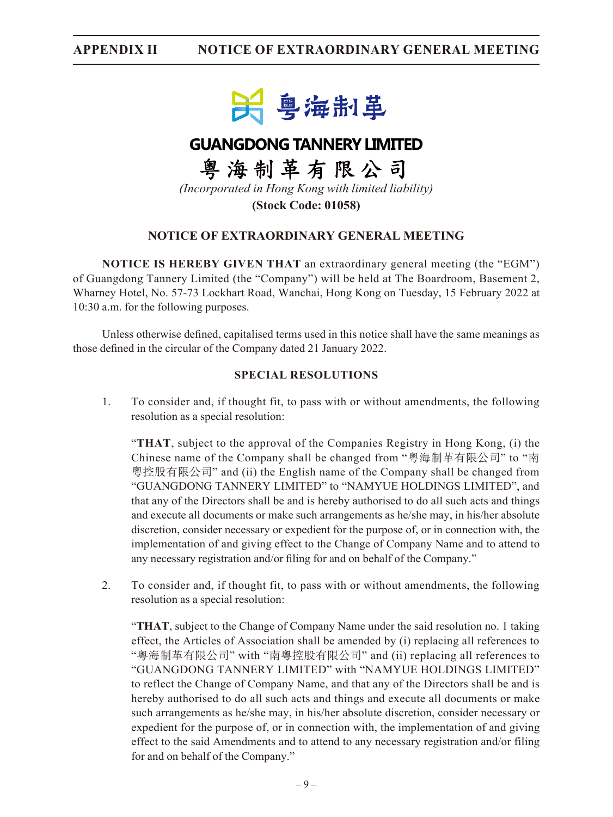

# **GUANGDONG TANNERY LIMITED**

粤海制革有限公司 *(Incorporated in Hong Kong with limited liability)*

**(Stock Code: 01058)**

## **NOTICE OF EXTRAORDINARY GENERAL MEETING**

**NOTICE IS HEREBY GIVEN THAT** an extraordinary general meeting (the "EGM") of Guangdong Tannery Limited (the "Company") will be held at The Boardroom, Basement 2, Wharney Hotel, No. 57-73 Lockhart Road, Wanchai, Hong Kong on Tuesday, 15 February 2022 at 10:30 a.m. for the following purposes.

Unless otherwise defined, capitalised terms used in this notice shall have the same meanings as those defined in the circular of the Company dated 21 January 2022.

#### **SPECIAL RESOLUTIONS**

1. To consider and, if thought fit, to pass with or without amendments, the following resolution as a special resolution:

"**THAT**, subject to the approval of the Companies Registry in Hong Kong, (i) the Chinese name of the Company shall be changed from "粵海制革有限公司" to "南 粵控股有限公司" and (ii) the English name of the Company shall be changed from "GUANGDONG TANNERY LIMITED" to "NAMYUE HOLDINGS LIMITED", and that any of the Directors shall be and is hereby authorised to do all such acts and things and execute all documents or make such arrangements as he/she may, in his/her absolute discretion, consider necessary or expedient for the purpose of, or in connection with, the implementation of and giving effect to the Change of Company Name and to attend to any necessary registration and/or filing for and on behalf of the Company."

2. To consider and, if thought fit, to pass with or without amendments, the following resolution as a special resolution:

"**THAT**, subject to the Change of Company Name under the said resolution no. 1 taking effect, the Articles of Association shall be amended by (i) replacing all references to "粵海制革有限公司" with "南粵控股有限公司" and (ii) replacing all references to "GUANGDONG TANNERY LIMITED" with "NAMYUE HOLDINGS LIMITED" to reflect the Change of Company Name, and that any of the Directors shall be and is hereby authorised to do all such acts and things and execute all documents or make such arrangements as he/she may, in his/her absolute discretion, consider necessary or expedient for the purpose of, or in connection with, the implementation of and giving effect to the said Amendments and to attend to any necessary registration and/or filing for and on behalf of the Company."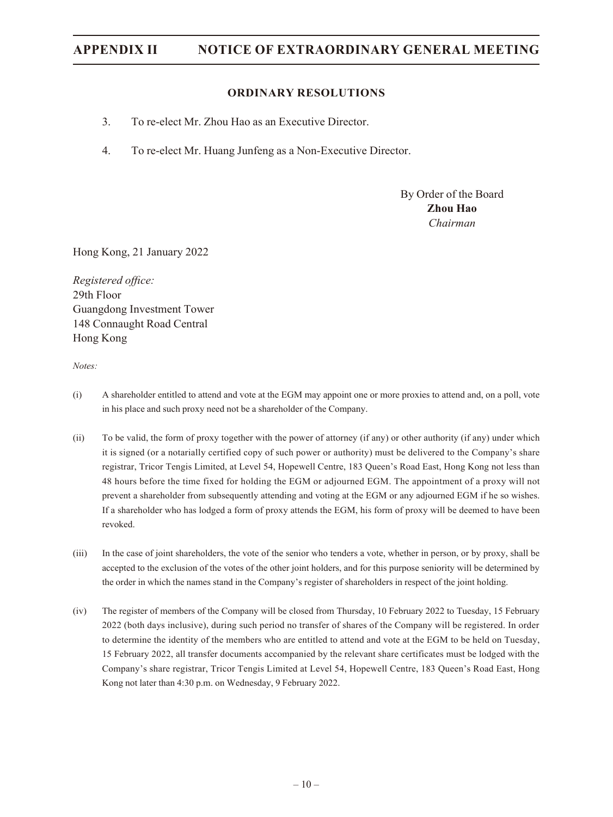#### **ORDINARY RESOLUTIONS**

- 3. To re-elect Mr. Zhou Hao as an Executive Director.
- 4. To re-elect Mr. Huang Junfeng as a Non-Executive Director.

By Order of the Board **Zhou Hao** *Chairman*

Hong Kong, 21 January 2022

*Registered office:* 29th Floor Guangdong Investment Tower 148 Connaught Road Central Hong Kong

*Notes:*

- (i) A shareholder entitled to attend and vote at the EGM may appoint one or more proxies to attend and, on a poll, vote in his place and such proxy need not be a shareholder of the Company.
- (ii) To be valid, the form of proxy together with the power of attorney (if any) or other authority (if any) under which it is signed (or a notarially certified copy of such power or authority) must be delivered to the Company's share registrar, Tricor Tengis Limited, at Level 54, Hopewell Centre, 183 Queen's Road East, Hong Kong not less than 48 hours before the time fixed for holding the EGM or adjourned EGM. The appointment of a proxy will not prevent a shareholder from subsequently attending and voting at the EGM or any adjourned EGM if he so wishes. If a shareholder who has lodged a form of proxy attends the EGM, his form of proxy will be deemed to have been revoked.
- (iii) In the case of joint shareholders, the vote of the senior who tenders a vote, whether in person, or by proxy, shall be accepted to the exclusion of the votes of the other joint holders, and for this purpose seniority will be determined by the order in which the names stand in the Company's register of shareholders in respect of the joint holding.
- (iv) The register of members of the Company will be closed from Thursday, 10 February 2022 to Tuesday, 15 February 2022 (both days inclusive), during such period no transfer of shares of the Company will be registered. In order to determine the identity of the members who are entitled to attend and vote at the EGM to be held on Tuesday, 15 February 2022, all transfer documents accompanied by the relevant share certificates must be lodged with the Company's share registrar, Tricor Tengis Limited at Level 54, Hopewell Centre, 183 Queen's Road East, Hong Kong not later than 4:30 p.m. on Wednesday, 9 February 2022.